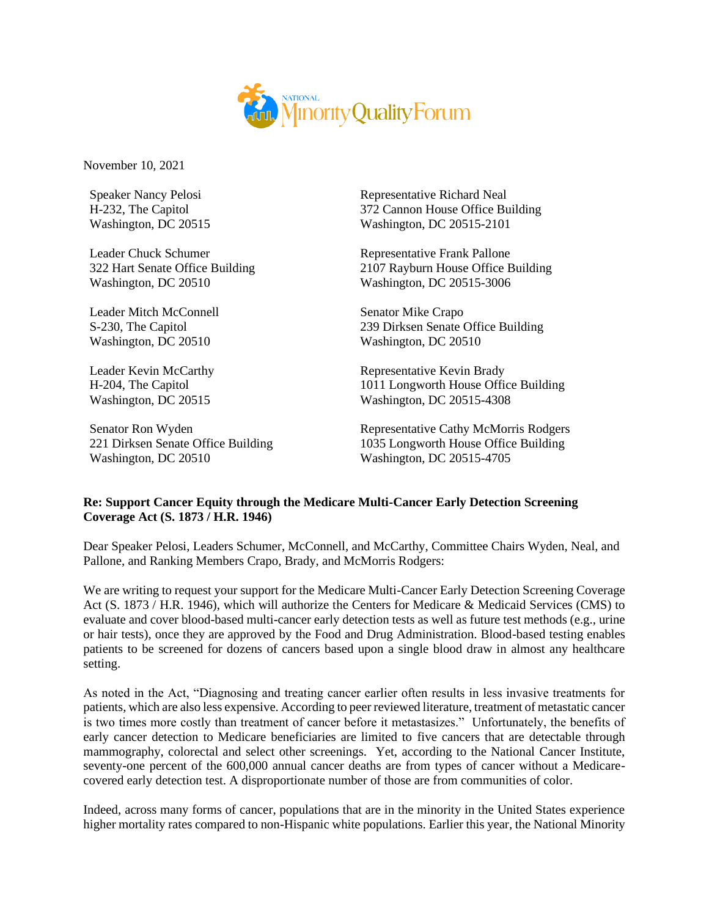

November 10, 2021

Speaker Nancy Pelosi H-232, The Capitol Washington, DC 20515

Leader Chuck Schumer 322 Hart Senate Office Building Washington, DC 20510

Leader Mitch McConnell S-230, The Capitol Washington, DC 20510

Leader Kevin McCarthy H-204, The Capitol Washington, DC 20515

Senator Ron Wyden 221 Dirksen Senate Office Building Washington, DC 20510

Representative Richard Neal 372 Cannon House Office Building Washington, DC 20515-2101

Representative Frank Pallone 2107 Rayburn House Office Building Washington, DC 20515-3006

Senator Mike Crapo 239 Dirksen Senate Office Building Washington, DC 20510

Representative Kevin Brady 1011 Longworth House Office Building Washington, DC 20515-4308

Representative Cathy McMorris Rodgers 1035 Longworth House Office Building Washington, DC 20515-4705

## **Re: Support Cancer Equity through the Medicare Multi-Cancer Early Detection Screening Coverage Act (S. 1873 / H.R. 1946)**

Dear Speaker Pelosi, Leaders Schumer, McConnell, and McCarthy, Committee Chairs Wyden, Neal, and Pallone, and Ranking Members Crapo, Brady, and McMorris Rodgers:

We are writing to request your support for the Medicare Multi-Cancer Early Detection Screening Coverage Act (S. 1873 / H.R. 1946), which will authorize the Centers for Medicare & Medicaid Services (CMS) to evaluate and cover blood-based multi-cancer early detection tests as well as future test methods (e.g., urine or hair tests), once they are approved by the Food and Drug Administration. Blood-based testing enables patients to be screened for dozens of cancers based upon a single blood draw in almost any healthcare setting.

As noted in the Act, "Diagnosing and treating cancer earlier often results in less invasive treatments for patients, which are also less expensive. According to peer reviewed literature, treatment of metastatic cancer is two times more costly than treatment of cancer before it metastasizes." Unfortunately, the benefits of early cancer detection to Medicare beneficiaries are limited to five cancers that are detectable through mammography, colorectal and select other screenings. Yet, according to the National Cancer Institute, seventy-one percent of the 600,000 annual cancer deaths are from types of cancer without a Medicarecovered early detection test. A disproportionate number of those are from communities of color.

Indeed, across many forms of cancer, populations that are in the minority in the United States experience higher mortality rates compared to non-Hispanic white populations. Earlier this year, the National Minority